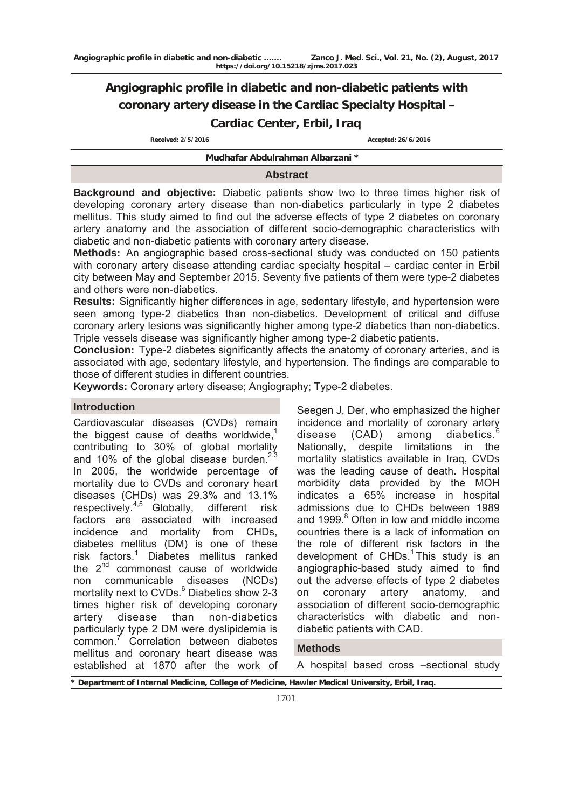# **Angiographic profile in diabetic and non-diabetic patients with coronary artery disease in the Cardiac Specialty Hospital – Cardiac Center, Erbil, Iraq**

 **Received: 2/5/2016 Accepted: 26/6/2016**

#### **Mudhafar Abdulrahman Albarzani \***

#### **Abstract**

**Background and objective:** Diabetic patients show two to three times higher risk of developing coronary artery disease than non-diabetics particularly in type 2 diabetes mellitus. This study aimed to find out the adverse effects of type 2 diabetes on coronary artery anatomy and the association of different socio-demographic characteristics with diabetic and non-diabetic patients with coronary artery disease.

**Methods:** An angiographic based cross-sectional study was conducted on 150 patients with coronary artery disease attending cardiac specialty hospital – cardiac center in Erbil city between May and September 2015. Seventy five patients of them were type-2 diabetes and others were non-diabetics.

**Results:** Significantly higher differences in age, sedentary lifestyle, and hypertension were seen among type-2 diabetics than non-diabetics. Development of critical and diffuse coronary artery lesions was significantly higher among type-2 diabetics than non-diabetics. Triple vessels disease was significantly higher among type-2 diabetic patients.

**Conclusion:** Type-2 diabetes significantly affects the anatomy of coronary arteries, and is associated with age, sedentary lifestyle, and hypertension. The findings are comparable to those of different studies in different countries.

**Keywords:** Coronary artery disease; Angiography; Type-2 diabetes.

## **Introduction**

Cardiovascular diseases (CVDs) remain the biggest cause of deaths worldwide, $<sup>1</sup>$ </sup> contributing to 30% of global mortality and 10% of the global disease burden. $2.3$ In 2005, the worldwide percentage of mortality due to CVDs and coronary heart diseases (CHDs) was 29.3% and 13.1% respectively.<sup>4,5</sup> Globally, different risk factors are associated with increased incidence and mortality from CHDs, diabetes mellitus (DM) is one of these risk factors.1 Diabetes mellitus ranked the 2<sup>nd</sup> commonest cause of worldwide non communicable diseases (NCDs) mortality next to CVDs.<sup>6</sup> Diabetics show 2-3 times higher risk of developing coronary artery disease than non-diabetics particularly type 2 DM were dyslipidemia is common.<sup>7</sup> Correlation between diabetes mellitus and coronary heart disease was established at 1870 after the work of

Seegen J, Der, who emphasized the higher incidence and mortality of coronary artery disease  $(CAD)$  among diabetics.<sup>6</sup> Nationally, despite limitations in the mortality statistics available in Iraq, CVDs was the leading cause of death. Hospital morbidity data provided by the MOH indicates a 65% increase in hospital admissions due to CHDs between 1989 and 1999.<sup>8</sup> Often in low and middle income countries there is a lack of information on the role of different risk factors in the development of  $CHDs<sup>1</sup>$  This study is an angiographic-based study aimed to find out the adverse effects of type 2 diabetes on coronary artery anatomy, and association of different socio-demographic characteristics with diabetic and nondiabetic patients with CAD.

## **Methods**

A hospital based cross –sectional study

**\* Department of Internal Medicine, College of Medicine, Hawler Medical University, Erbil, Iraq.**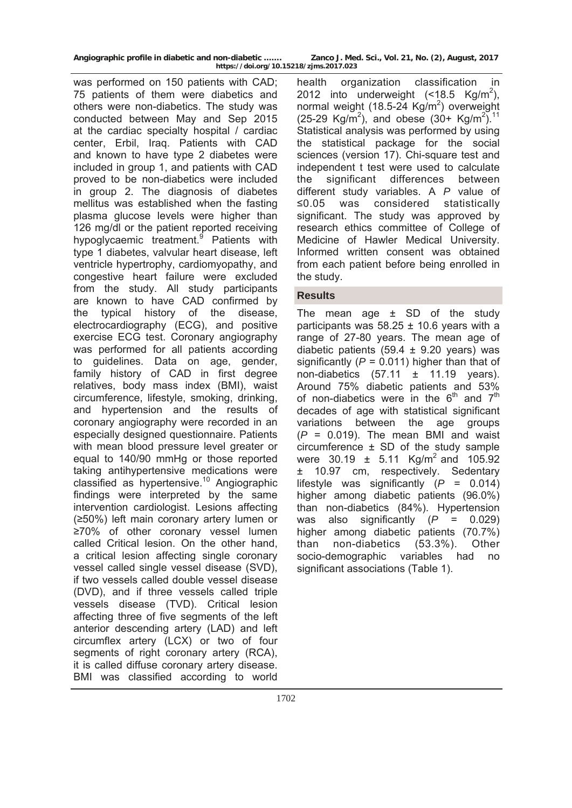**Angiographic profile in diabetic and non-diabetic ……. Zanco J. Med. Sci., Vol. 21, No. (2), August, 2017** 

was performed on 150 patients with CAD; 75 patients of them were diabetics and others were non-diabetics. The study was conducted between May and Sep 2015 at the cardiac specialty hospital / cardiac center, Erbil, Iraq. Patients with CAD and known to have type 2 diabetes were included in group 1, and patients with CAD proved to be non-diabetics were included in group 2. The diagnosis of diabetes mellitus was established when the fasting plasma glucose levels were higher than 126 mg/dl or the patient reported receiving hypoglycaemic treatment.<sup>9</sup> Patients with type 1 diabetes, valvular heart disease, left ventricle hypertrophy, cardiomyopathy, and congestive heart failure were excluded from the study. All study participants are known to have CAD confirmed by the typical history of the disease, electrocardiography (ECG), and positive exercise ECG test. Coronary angiography was performed for all patients according to guidelines. Data on age, gender, family history of CAD in first degree relatives, body mass index (BMI), waist circumference, lifestyle, smoking, drinking, and hypertension and the results of coronary angiography were recorded in an especially designed questionnaire. Patients with mean blood pressure level greater or equal to 140/90 mmHg or those reported taking antihypertensive medications were classified as hypertensive.<sup>10</sup> Angiographic findings were interpreted by the same intervention cardiologist. Lesions affecting (≥50%) left main coronary artery lumen or ≥70% of other coronary vessel lumen called Critical lesion. On the other hand, a critical lesion affecting single coronary vessel called single vessel disease (SVD), if two vessels called double vessel disease (DVD), and if three vessels called triple vessels disease (TVD). Critical lesion affecting three of five segments of the left anterior descending artery (LAD) and left circumflex artery (LCX) or two of four segments of right coronary artery (RCA), it is called diffuse coronary artery disease. BMI was classified according to world

**https://doi.org/10.15218/zjms.2017.023**

health organization classification in 2012 into underweight  $(\leq 18.5 \text{ Kg/m}^2)$ , normal weight (18.5-24 Kg/m<sup>2</sup>) overweight  $(25-29 \text{ Kg/m}^2)$ , and obese  $(30+ \text{ Kg/m}^2)^{11}$ Statistical analysis was performed by using the statistical package for the social sciences (version 17). Chi-square test and independent t test were used to calculate the significant differences between different study variables. A *P* value of ≤0.05 was considered statistically significant. The study was approved by research ethics committee of College of Medicine of Hawler Medical University. Informed written consent was obtained from each patient before being enrolled in the study.

# **Results**

The mean age  $\pm$  SD of the study participants was  $58.25 \pm 10.6$  years with a range of 27-80 years. The mean age of diabetic patients (59.4  $\pm$  9.20 years) was significantly (*P* = 0.011) higher than that of non-diabetics  $(57.11 \pm 11.19 \text{ years}).$ Around 75% diabetic patients and 53% of non-diabetics were in the  $6<sup>th</sup>$  and  $7<sup>th</sup>$ decades of age with statistical significant variations between the age groups  $(P = 0.019)$ . The mean BMI and waist circumference ± SD of the study sample were  $30.19 \pm 5.11$  Kg/m<sup>2</sup> and 105.92 ± 10.97 cm, respectively. Sedentary lifestyle was significantly (*P* = 0.014) higher among diabetic patients (96.0%) than non-diabetics (84%). Hypertension was also significantly (*P* = 0.029) higher among diabetic patients (70.7%) than non-diabetics (53.3%). Other socio-demographic variables had no significant associations (Table 1).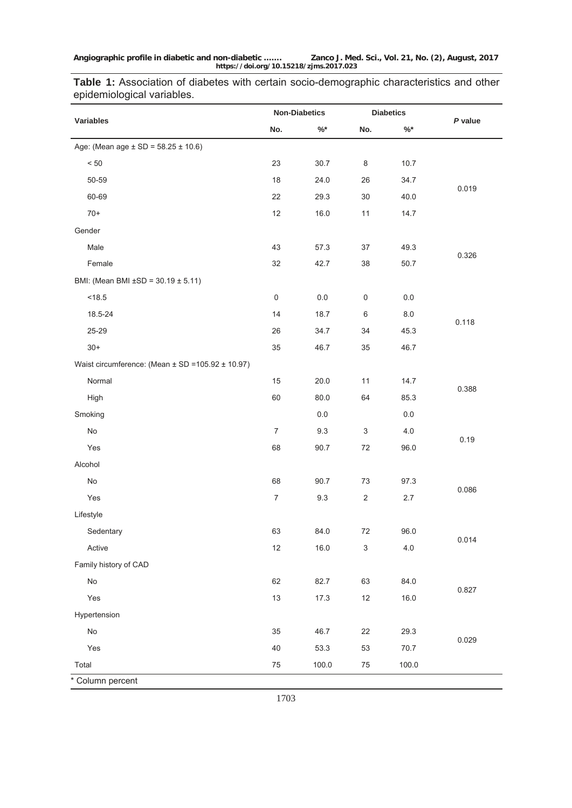**Table 1:** Association of diabetes with certain socio-demographic characteristics and other epidemiological variables.

|                                                          | <b>Non-Diabetics</b> |           | <b>Diabetics</b>          |           |         |
|----------------------------------------------------------|----------------------|-----------|---------------------------|-----------|---------|
| Variables                                                | No.                  | $\% ^{*}$ | No.                       | $\% ^{*}$ | P value |
| Age: (Mean age $\pm$ SD = 58.25 $\pm$ 10.6)              |                      |           |                           |           |         |
| $< 50$                                                   | 23                   | 30.7      | 8                         | 10.7      |         |
| $50 - 59$                                                | 18                   | 24.0      | 26                        | 34.7      |         |
| 60-69                                                    | 22                   | 29.3      | 30                        | 40.0      | 0.019   |
| $70+$                                                    | 12                   | 16.0      | 11                        | 14.7      |         |
| Gender                                                   |                      |           |                           |           |         |
| Male                                                     | 43                   | 57.3      | 37                        | 49.3      |         |
| Female                                                   | 32                   | 42.7      | 38                        | 50.7      | 0.326   |
| BMI: (Mean BMI $\pm$ SD = 30.19 $\pm$ 5.11)              |                      |           |                           |           |         |
| < 18.5                                                   | $\mathsf 0$          | $0.0\,$   | $\mathsf 0$               | $0.0\,$   |         |
| 18.5-24                                                  | 14                   | 18.7      | 6                         | $8.0\,$   |         |
| 25-29                                                    | 26                   | 34.7      | 34                        | 45.3      | 0.118   |
| $30+$                                                    | 35                   | 46.7      | 35                        | 46.7      |         |
| Waist circumference: (Mean $\pm$ SD =105.92 $\pm$ 10.97) |                      |           |                           |           |         |
| Normal                                                   | 15                   | 20.0      | 11                        | 14.7      |         |
| High                                                     | 60                   | 80.0      | 64                        | 85.3      | 0.388   |
| Smoking                                                  |                      | $0.0\,$   |                           | $0.0\,$   |         |
| $\mathsf{No}$                                            | $\overline{7}$       | 9.3       | $\ensuremath{\mathsf{3}}$ | 4.0       |         |
| Yes                                                      | 68                   | 90.7      | 72                        | 96.0      | 0.19    |
| Alcohol                                                  |                      |           |                           |           |         |
| No                                                       | 68                   | 90.7      | 73                        | 97.3      |         |
| Yes                                                      | $\overline{7}$       | 9.3       | $\sqrt{2}$                | 2.7       | 0.086   |
| Lifestyle                                                |                      |           |                           |           |         |
| Sedentary                                                | 63                   | 84.0      | 72                        | 96.0      |         |
| Active                                                   | 12                   | 16.0      | $\mathsf 3$               | 4.0       | 0.014   |
| Family history of CAD                                    |                      |           |                           |           |         |
| No                                                       | 62                   | 82.7      | 63                        | 84.0      |         |
| Yes                                                      | 13                   | 17.3      | $12$                      | 16.0      | 0.827   |
| Hypertension                                             |                      |           |                           |           |         |
| $\mathsf{No}$                                            | $35\,$               | 46.7      | 22                        | 29.3      |         |
| Yes                                                      | 40                   | 53.3      | 53                        | 70.7      | 0.029   |
| Total                                                    | $75\,$               | 100.0     | $75\,$                    | 100.0     |         |
| * Column percent                                         |                      |           |                           |           |         |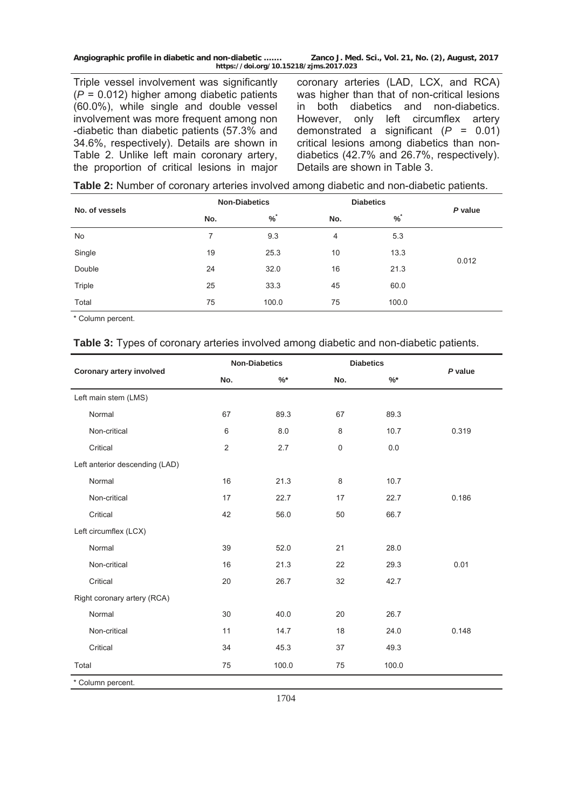**Angiographic profile in diabetic and non-diabetic ……. Zanco J. Med. Sci., Vol. 21, No. (2), August, 2017 https://doi.org/10.15218/zjms.2017.023**

Triple vessel involvement was significantly (*P* = 0.012) higher among diabetic patients (60.0%), while single and double vessel involvement was more frequent among non -diabetic than diabetic patients (57.3% and 34.6%, respectively). Details are shown in Table 2. Unlike left main coronary artery, the proportion of critical lesions in major

coronary arteries (LAD, LCX, and RCA) was higher than that of non-critical lesions in both diabetics and non-diabetics. However, only left circumflex artery demonstrated a significant (*P* = 0.01) critical lesions among diabetics than nondiabetics (42.7% and 26.7%, respectively). Details are shown in Table 3.

| No. of vessels |     | <b>Non-Diabetics</b> | <b>Diabetics</b> | P value |       |
|----------------|-----|----------------------|------------------|---------|-------|
|                | No. | $\%$                 | No.              | $\%$    |       |
| No             | 7   | 9.3                  | $\overline{4}$   | 5.3     |       |
| Single         | 19  | 25.3                 | 10               | 13.3    | 0.012 |
| Double         | 24  | 32.0                 | 16               | 21.3    |       |
| Triple         | 25  | 33.3                 | 45               | 60.0    |       |
| Total          | 75  | 100.0                | 75               | 100.0   |       |

\* Column percent.

#### **Table 3:** Types of coronary arteries involved among diabetic and non-diabetic patients.

|                                | <b>Non-Diabetics</b> |        |             | <b>Diabetics</b> |         |  |
|--------------------------------|----------------------|--------|-------------|------------------|---------|--|
| Coronary artery involved       | No.                  | $\%$ * | No.         | %                | P value |  |
| Left main stem (LMS)           |                      |        |             |                  |         |  |
| Normal                         | 67                   | 89.3   | 67          | 89.3             |         |  |
| Non-critical                   | 6                    | 8.0    | 8           | 10.7             | 0.319   |  |
| Critical                       | $\overline{2}$       | 2.7    | $\mathsf 0$ | $0.0\,$          |         |  |
| Left anterior descending (LAD) |                      |        |             |                  |         |  |
| Normal                         | 16                   | 21.3   | 8           | 10.7             |         |  |
| Non-critical                   | 17                   | 22.7   | 17          | 22.7             | 0.186   |  |
| Critical                       | 42                   | 56.0   | 50          | 66.7             |         |  |
| Left circumflex (LCX)          |                      |        |             |                  |         |  |
| Normal                         | 39                   | 52.0   | 21          | 28.0             |         |  |
| Non-critical                   | 16                   | 21.3   | 22          | 29.3             | 0.01    |  |
| Critical                       | 20                   | 26.7   | 32          | 42.7             |         |  |
| Right coronary artery (RCA)    |                      |        |             |                  |         |  |
| Normal                         | 30                   | 40.0   | 20          | 26.7             |         |  |
| Non-critical                   | 11                   | 14.7   | 18          | 24.0             | 0.148   |  |
| Critical                       | 34                   | 45.3   | 37          | 49.3             |         |  |
| Total                          | 75                   | 100.0  | 75          | 100.0            |         |  |
| * Column percent.              |                      |        |             |                  |         |  |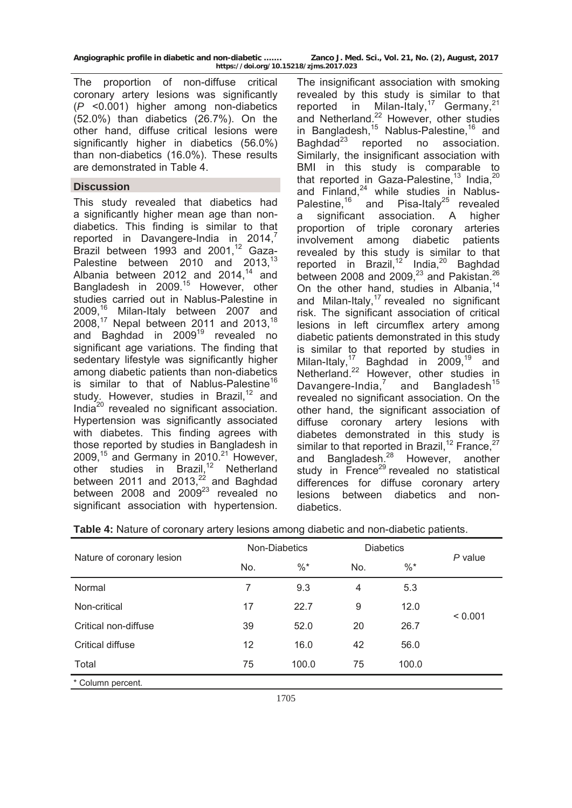| Angiographic profile in diabetic and non-diabetic |                                        | Zanco J. Med. Sci. |
|---------------------------------------------------|----------------------------------------|--------------------|
|                                                   | https://doi.org/10.15218/zjms.2017.023 |                    |

**Vol. 21, No. (2), August, 2017** 

The proportion of non-diffuse critical coronary artery lesions was significantly (*P* <0.001) higher among non-diabetics (52.0%) than diabetics (26.7%). On the other hand, diffuse critical lesions were significantly higher in diabetics (56.0%) than non-diabetics (16.0%). These results are demonstrated in Table 4.

## **Discussion**

This study revealed that diabetics had a significantly higher mean age than nondiabetics. This finding is similar to that reported in Davangere-India in 2014, $^7$ Brazil between  $1993$  and  $2001<sup>12</sup>$  Gaza-Palestine between 2010 and 2013,<sup>13</sup> Albania between 2012 and  $2014,^{14}$  and Bangladesh in 2009.<sup>15</sup> However, other studies carried out in Nablus-Palestine in 2009.<sup>16</sup> Milan-Italy between 2007 and 2008,17 Nepal between 2011 and 2013,18 and Baghdad in 2009<sup>19</sup> revealed no significant age variations. The finding that sedentary lifestyle was significantly higher among diabetic patients than non-diabetics is similar to that of Nablus-Palestine<sup>16</sup> study. However, studies in Brazil,<sup>12</sup> and India20 revealed no significant association. Hypertension was significantly associated with diabetes. This finding agrees with those reported by studies in Bangladesh in 2009,<sup>15</sup> and Germany in 2010.<sup>21</sup> However, other studies in Brazil,<sup>12</sup> Netherland between 2011 and 2013, $^{22}$  and Baghdad between 2008 and  $2009^{23}$  revealed no significant association with hypertension.

The insignificant association with smoking revealed by this study is similar to that reported in Milan-Italy,<sup>17</sup> Germany,<sup>21</sup> and Netherland.<sup>22</sup> However, other studies in Bangladesh,<sup>15</sup> Nablus-Palestine,<sup>16</sup> and Baghdad<sup>23</sup> reported no association. Similarly, the insignificant association with BMI in this study is comparable to that reported in Gaza-Palestine,<sup>13</sup> India,<sup>20</sup> and Finland, $24$  while studies in Nablus-Palestine,<sup>16</sup> and Pisa-Italy<sup>25</sup> revealed a significant association. A higher proportion of triple coronary arteries involvement among diabetic patients revealed by this study is similar to that reported in Brazil,<sup>12</sup> India,<sup>20</sup> Baghdad between 2008 and 2009, $^{23}$  and Pakistan.<sup>26</sup> On the other hand, studies in Albania.<sup>14</sup> and Milan-Italy, $17$  revealed no significant risk. The significant association of critical lesions in left circumflex artery among diabetic patients demonstrated in this study is similar to that reported by studies in Milan-Italy,<sup>17</sup> Baghdad in  $2009$ ,<sup>19</sup> and Netherland.<sup>22</sup> However, other studies in Davangere-India, $^7$  and Bangladesh<sup>15</sup> revealed no significant association. On the other hand, the significant association of diffuse coronary artery lesions with diabetes demonstrated in this study is similar to that reported in Brazil,<sup>12</sup> France,<sup>27</sup> and Bangladesh.<sup>28</sup> However, another study in  $\overline{F}$ rence<sup>29</sup> revealed no statistical differences for diffuse coronary artery lesions between diabetics and nondiabetics.

|  |  |  |  | Table 4: Nature of coronary artery lesions among diabetic and non-diabetic patients. |
|--|--|--|--|--------------------------------------------------------------------------------------|
|  |  |  |  |                                                                                      |

|                           |     | Non-Diabetics | <b>Diabetics</b> |        |         |
|---------------------------|-----|---------------|------------------|--------|---------|
| Nature of coronary lesion | No. | $\%$ *        | No.              | $\%$ * | P value |
| Normal                    | 7   | 9.3           | 4                | 5.3    |         |
| Non-critical              | 17  | 22.7          | 9                | 12.0   |         |
| Critical non-diffuse      | 39  | 52.0          | 20               | 26.7   | < 0.001 |
| Critical diffuse          | 12  | 16.0          | 42               | 56.0   |         |
| Total                     | 75  | 100.0         | 75               | 100.0  |         |
| * Column percent.         |     |               |                  |        |         |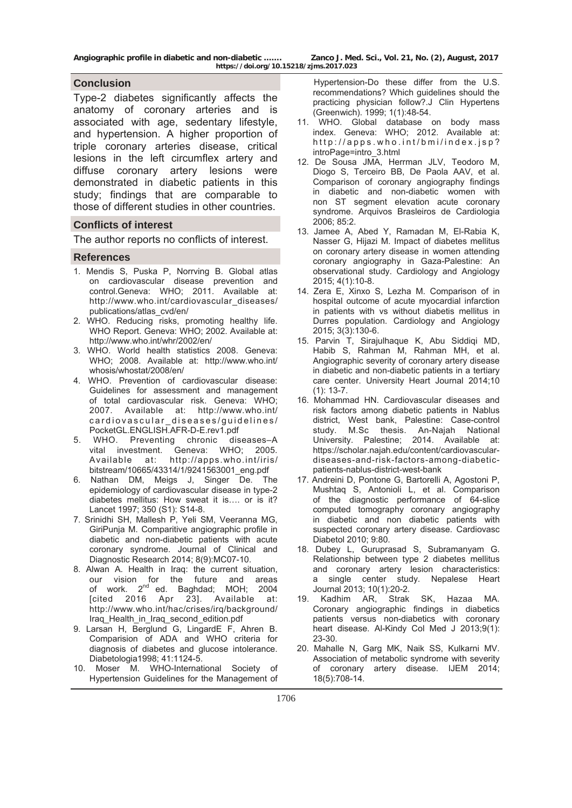**Angiographic profile in diabetic and non-diabetic ……. Zanco J. Med. Sci., Vol. 21, No. (2), August, 2017** 

## **Conclusion**

Type-2 diabetes significantly affects the anatomy of coronary arteries and is associated with age, sedentary lifestyle, and hypertension. A higher proportion of triple coronary arteries disease, critical lesions in the left circumflex artery and diffuse coronary artery lesions were demonstrated in diabetic patients in this study; findings that are comparable to those of different studies in other countries.

#### **Conflicts of interest**

The author reports no conflicts of interest.

#### **References**

- 1. Mendis S, Puska P, Norrving B. Global atlas on cardiovascular disease prevention and control.Geneva: WHO; 2011. Available at: [http://www.who.int/cardiovascular\\_diseases/](http://www.who.int/cardiovascular_diseases/publications/atlas_cvd/en/) [publications/atlas\\_cvd/en/](http://www.who.int/cardiovascular_diseases/publications/atlas_cvd/en/)
- 2. WHO. Reducing risks, promoting healthy life. WHO Report. Geneva: WHO; 2002. Available at: <http://www.who.int/whr/2002/en/>
- 3. WHO. World health statistics 2008. Geneva: WHO; 2008. Available at: [http://www.who.int/](http://www.who.int/whosis/whostat/2008/en/) [whosis/whostat/2008/en/](http://www.who.int/whosis/whostat/2008/en/)
- 4. WHO. Prevention of cardiovascular disease: Guidelines for assessment and management of total cardiovascular risk. Geneva: WHO; 2007. Available at: [http://www.who.int/](http://www.who.int/cardiovascular_diseases/guidelines/pocketgl.english.afr-d-e.rev1.pdf) [cardiovascular\\_diseases/guidelines/](http://www.who.int/cardiovascular_diseases/guidelines/pocketgl.english.afr-d-e.rev1.pdf) [PocketGL.ENGLISH.AFR-D-E.rev1.pdf](http://www.who.int/cardiovascular_diseases/guidelines/pocketgl.english.afr-d-e.rev1.pdf)
- 5. WHO. Preventing chronic diseases–A vital investment. Geneva: WHO; 2005. Available at: [http://apps.who.int/iris/](http://apps.who.int/iris/bitstream/10665/43314/1/9241563001_eng.pdf) [bitstream/10665/43314/1/9241563001\\_eng.pdf](http://apps.who.int/iris/bitstream/10665/43314/1/9241563001_eng.pdf)
- 6. Nathan DM, Meigs J, Singer De. The epidemiology of cardiovascular disease in type-2 diabetes mellitus: How sweat it is…. or is it? Lancet 1997; 350 (S1): S14-8.
- 7. Srinidhi SH, Mallesh P, Yeli SM, Veeranna MG, GiriPunja M. Comparitive angiographic profile in diabetic and non-diabetic patients with acute coronary syndrome. Journal of Clinical and Diagnostic Research 2014; 8(9):MC07-10.
- 8. Alwan A. Health in Iraq: the current situation, our vision for the future and areas of work. 2<sup>nd</sup> ed. Baghdad; MOH; 2004 [cited 2016 Apr 23]. Available at: [http://www.who.int/hac/crises/irq/background/](http://www.who.int/hac/crises/irq/background/iraq_health_in_iraq_second_edition.pdf) [Iraq\\_Health\\_in\\_Iraq\\_second\\_edition.pdf](http://www.who.int/hac/crises/irq/background/iraq_health_in_iraq_second_edition.pdf)
- 9. Larsan H, Berglund G, LingardE F, Ahren B. Comparision of ADA and WHO criteria for diagnosis of diabetes and glucose intolerance. Diabetologia1998; 41:1124-5.
- 10. Moser M. WHO-International Society of Hypertension Guidelines for the Management of

 Hypertension-Do these differ from the U.S. recommendations? Which guidelines should the practicing physician follow?.J Clin Hypertens (Greenwich). 1999; 1(1):48-54.

- 11. WHO. Global database on body mass index. Geneva: WHO; 2012. Available at: [http://apps.who.int/bmi/index.jsp?](http://apps.who.int/bmi/index.jsp?intropage=intro_3.html) [introPage=intro\\_3.html](http://apps.who.int/bmi/index.jsp?intropage=intro_3.html)
- 12. De Sousa JMA, Herrman JLV, Teodoro M, Diogo S, Terceiro BB, De Paola AAV, et al. Comparison of coronary angiography findings in diabetic and non-diabetic women with non ST segment elevation acute coronary syndrome. Arquivos Brasleiros de Cardiologia 2006; 85:2.
- 13. Jamee A, Abed Y, Ramadan M, El-Rabia K, Nasser G, Hijazi M. Impact of diabetes mellitus on coronary artery disease in women attending coronary angiography in Gaza-Palestine: An observational study. Cardiology and Angiology 2015; 4(1):10-8.
- 14. Zera E, Xinxo S, Lezha M. Comparison of in hospital outcome of acute myocardial infarction in patients with vs without diabetis mellitus in Durres population. Cardiology and Angiology 2015; 3(3):130-6.
- 15. Parvin T, Sirajulhaque K, Abu Siddiqi MD, Habib S, Rahman M, Rahman MH, et al. Angiographic severity of coronary artery disease in diabetic and non-diabetic patients in a tertiary care center. University Heart Journal 2014;10 (1): 13-7.
- 16. Mohammad HN. Cardiovascular diseases and risk factors among diabetic patients in Nablus district, West bank, Palestine: Case-control study. M.Sc thesis. An-Najah National University. Palestine; 2014. Available at: [https://scholar.najah.edu/content/cardiovascular](https://scholar.najah.edu/content/cardiovascular-diseases-and-risk-factors-among-diabetic-patients-nablus-district-west-bank)[diseases-and-risk-factors-among-diabetic](https://scholar.najah.edu/content/cardiovascular-diseases-and-risk-factors-among-diabetic-patients-nablus-district-west-bank)[patients-nablus-district-west-bank](https://scholar.najah.edu/content/cardiovascular-diseases-and-risk-factors-among-diabetic-patients-nablus-district-west-bank)
- 17. Andreini D, Pontone G, Bartorelli A, Agostoni P, Mushtaq S, Antonioli L, et al. Comparison of the diagnostic performance of 64-slice computed tomography coronary angiography in diabetic and non diabetic patients with suspected coronary artery disease. Cardiovasc Diabetol 2010; 9:80.
- 18. Dubey L, Guruprasad S, Subramanyam G. Relationship between type 2 diabetes mellitus and coronary artery lesion characteristics: a single center study. Nepalese Heart Journal 2013; 10(1):20-2.
- 19. Kadhim AR, Strak SK, Hazaa MA. Coronary angiographic findings in diabetics patients versus non-diabetics with coronary heart disease. Al-Kindy Col Med J 2013;9(1): 23-30.
- 20. Mahalle N, Garg MK, Naik SS, Kulkarni MV. Association of metabolic syndrome with severity of coronary artery disease. IJEM 2014; 18(5):708-14.